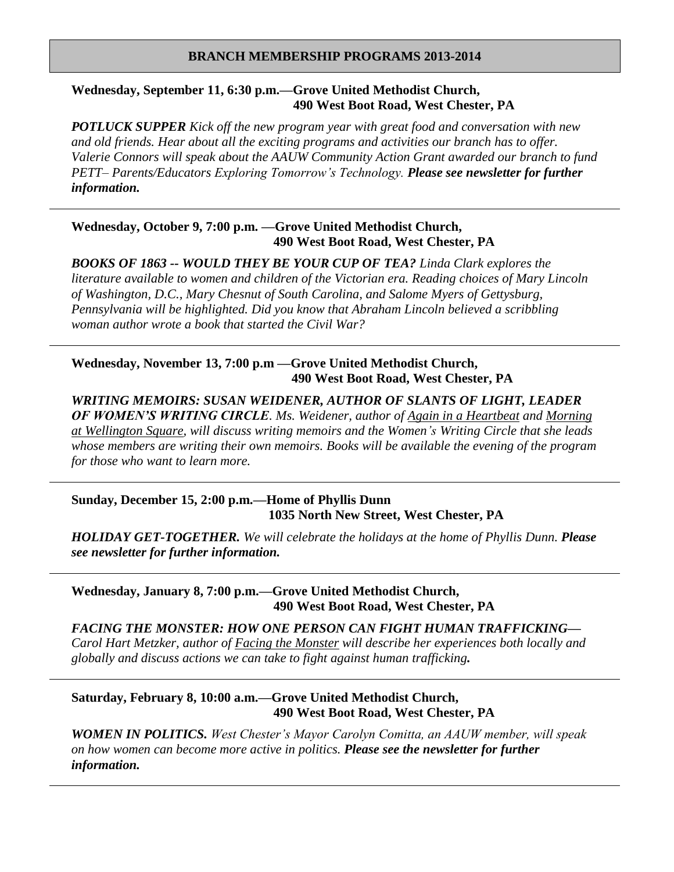#### **BRANCH MEMBERSHIP PROGRAMS 2013-2014**

# **Wednesday, September 11, 6:30 p.m.—Grove United Methodist Church, 490 West Boot Road, West Chester, PA**

*POTLUCK SUPPER Kick off the new program year with great food and conversation with new and old friends. Hear about all the exciting programs and activities our branch has to offer. Valerie Connors will speak about the AAUW Community Action Grant awarded our branch to fund PETT– Parents/Educators Exploring Tomorrow's Technology. Please see newsletter for further information.* 

# **Wednesday, October 9, 7:00 p.m. —Grove United Methodist Church, 490 West Boot Road, West Chester, PA**

*BOOKS OF 1863 -- WOULD THEY BE YOUR CUP OF TEA? Linda Clark explores the literature available to women and children of the Victorian era. Reading choices of Mary Lincoln of Washington, D.C., Mary Chesnut of South Carolina, and Salome Myers of Gettysburg, Pennsylvania will be highlighted. Did you know that Abraham Lincoln believed a scribbling woman author wrote a book that started the Civil War?*

# **Wednesday, November 13, 7:00 p.m —Grove United Methodist Church, 490 West Boot Road, West Chester, PA**

*WRITING MEMOIRS: SUSAN WEIDENER, AUTHOR OF SLANTS OF LIGHT, LEADER OF WOMEN'S WRITING CIRCLE. Ms. Weidener, author of Again in a Heartbeat and Morning at Wellington Square, will discuss writing memoirs and the Women's Writing Circle that she leads whose members are writing their own memoirs. Books will be available the evening of the program for those who want to learn more.*

# **Sunday, December 15, 2:00 p.m.—Home of Phyllis Dunn 1035 North New Street, West Chester, PA**

*HOLIDAY GET-TOGETHER. We will celebrate the holidays at the home of Phyllis Dunn. Please see newsletter for further information.*

**Wednesday, January 8, 7:00 p.m.—Grove United Methodist Church, 490 West Boot Road, West Chester, PA**

*FACING THE MONSTER: HOW ONE PERSON CAN FIGHT HUMAN TRAFFICKING— Carol Hart Metzker, author of Facing the Monster will describe her experiences both locally and globally and discuss actions we can take to fight against human trafficking.*

# **Saturday, February 8, 10:00 a.m.—Grove United Methodist Church, 490 West Boot Road, West Chester, PA**

*WOMEN IN POLITICS. West Chester's Mayor Carolyn Comitta, an AAUW member, will speak on how women can become more active in politics. Please see the newsletter for further information.*